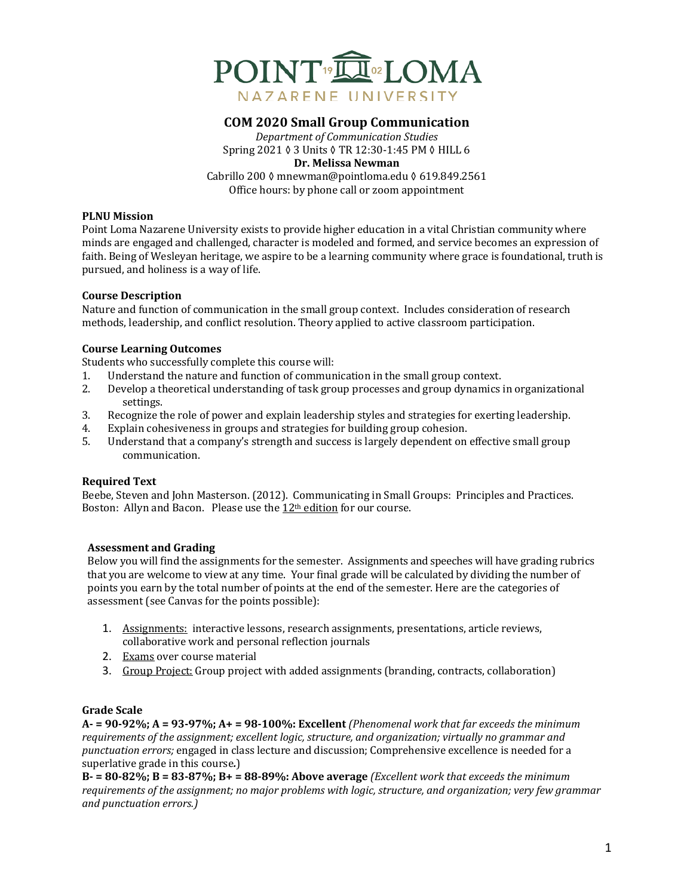

# **COM 2020 Small Group Communication**

*Department of Communication Studies* Spring 2021 ♦ 3 Units ♦ TR 12:30-1:45 PM ♦ HILL 6 **Dr. Melissa Newman** Cabrillo 200 ≬ mnewman@pointloma.edu § 619.849.2561 Office hours: by phone call or zoom appointment

#### **PLNU Mission**

Point Loma Nazarene University exists to provide higher education in a vital Christian community where minds are engaged and challenged, character is modeled and formed, and service becomes an expression of faith. Being of Wesleyan heritage, we aspire to be a learning community where grace is foundational, truth is pursued, and holiness is a way of life.

#### **Course Description**

Nature and function of communication in the small group context. Includes consideration of research methods, leadership, and conflict resolution. Theory applied to active classroom participation.

#### **Course Learning Outcomes**

Students who successfully complete this course will:

- 1. Understand the nature and function of communication in the small group context.
- 2. Develop a theoretical understanding of task group processes and group dynamics in organizational settings.
- 3. Recognize the role of power and explain leadership styles and strategies for exerting leadership.
- 4. Explain cohesiveness in groups and strategies for building group cohesion.
- 5. Understand that a company's strength and success is largely dependent on effective small group communication.

## **Required Text**

Beebe, Steven and John Masterson. (2012). Communicating in Small Groups: Principles and Practices. Boston: Allyn and Bacon. Please use the  $12<sup>th</sup>$  edition for our course.

## **Assessment and Grading**

Below you will find the assignments for the semester. Assignments and speeches will have grading rubrics that you are welcome to view at any time. Your final grade will be calculated by dividing the number of points you earn by the total number of points at the end of the semester. Here are the categories of assessment (see Canvas for the points possible):

- 1. Assignments: interactive lessons, research assignments, presentations, article reviews, collaborative work and personal reflection journals
- 2. Exams over course material
- 3. Group Project: Group project with added assignments (branding, contracts, collaboration)

## **Grade Scale**

 $A - 90-92\%$ ;  $A = 93-97\%$ ;  $A + 98-100\%$ : Excellent *(Phenomenal work that far exceeds the minimum* requirements of the assignment; excellent logic, structure, and organization; virtually no grammar and *punctuation errors;* engaged in class lecture and discussion; Comprehensive excellence is needed for a superlative grade in this course.)

 $B-$  **= 80-82%;**  $B = 83-87$ %;  $B+$  **= 88-89%:** Above average *(Excellent work that exceeds the minimum requirements of the assignment; no major problems with logic, structure, and organization; very few grammar and punctuation errors.)*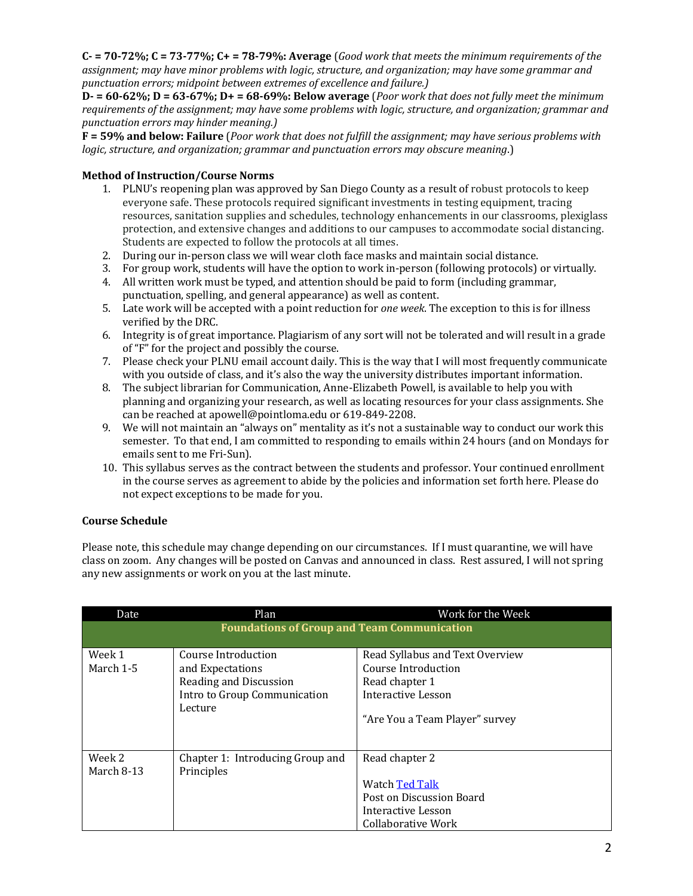$C - 70 - 72\%$ ;  $C = 73 - 77\%$ ;  $C + 78 - 79\%$ : Average (*Good work that meets the minimum requirements of the* assignment; may have minor problems with logic, structure, and organization; may have some grammar and *punctuation errors; midpoint between extremes of excellence and failure.)*

 $D = 60-62\%$ ;  $D = 63-67\%$ ;  $D = 68-69\%$ ; Below average *(Poor work that does not fully meet the minimum requirements of the assignment; may have some problems with logic, structure, and organization; grammar and punctuation errors may hinder meaning.)*

**F** = 59% and below: Failure (*Poor work that does not fulfill the assignment; may have serious problems with logic, structure, and organization; grammar and punctuation errors may obscure meaning.*)

## **Method of Instruction/Course Norms**

- 1. PLNU's reopening plan was approved by San Diego County as a result of robust protocols to keep everyone safe. These protocols required significant investments in testing equipment, tracing resources, sanitation supplies and schedules, technology enhancements in our classrooms, plexiglass protection, and extensive changes and additions to our campuses to accommodate social distancing. Students are expected to follow the protocols at all times.
- 2. During our in-person class we will wear cloth face masks and maintain social distance.
- 3. For group work, students will have the option to work in-person (following protocols) or virtually.
- 4. All written work must be typed, and attention should be paid to form (including grammar, punctuation, spelling, and general appearance) as well as content.
- 5. Late work will be accepted with a point reduction for *one week*. The exception to this is for illness verified by the DRC.
- 6. Integrity is of great importance. Plagiarism of any sort will not be tolerated and will result in a grade of "F" for the project and possibly the course.
- 7. Please check your PLNU email account daily. This is the way that I will most frequently communicate with you outside of class, and it's also the way the university distributes important information.
- 8. The subject librarian for Communication, Anne-Elizabeth Powell, is available to help you with planning and organizing your research, as well as locating resources for your class assignments. She can be reached at apowell@pointloma.edu or 619-849-2208.
- 9. We will not maintain an "always on" mentality as it's not a sustainable way to conduct our work this semester. To that end, I am committed to responding to emails within 24 hours (and on Mondays for emails sent to me Fri-Sun).
- 10. This syllabus serves as the contract between the students and professor. Your continued enrollment in the course serves as agreement to abide by the policies and information set forth here. Please do not expect exceptions to be made for you.

## **Course Schedule**

Please note, this schedule may change depending on our circumstances. If I must quarantine, we will have class on zoom. Any changes will be posted on Canvas and announced in class. Rest assured, I will not spring any new assignments or work on you at the last minute.

| Date                                               | Plan                                                                                                         | Work for the Week                                                                                                                |  |  |
|----------------------------------------------------|--------------------------------------------------------------------------------------------------------------|----------------------------------------------------------------------------------------------------------------------------------|--|--|
| <b>Foundations of Group and Team Communication</b> |                                                                                                              |                                                                                                                                  |  |  |
| Week 1<br>March 1-5                                | Course Introduction<br>and Expectations<br>Reading and Discussion<br>Intro to Group Communication<br>Lecture | Read Syllabus and Text Overview<br>Course Introduction<br>Read chapter 1<br>Interactive Lesson<br>"Are You a Team Player" survey |  |  |
| Week 2<br>March 8-13                               | Chapter 1: Introducing Group and<br>Principles                                                               | Read chapter 2<br>Watch Ted Talk<br>Post on Discussion Board<br>Interactive Lesson<br>Collaborative Work                         |  |  |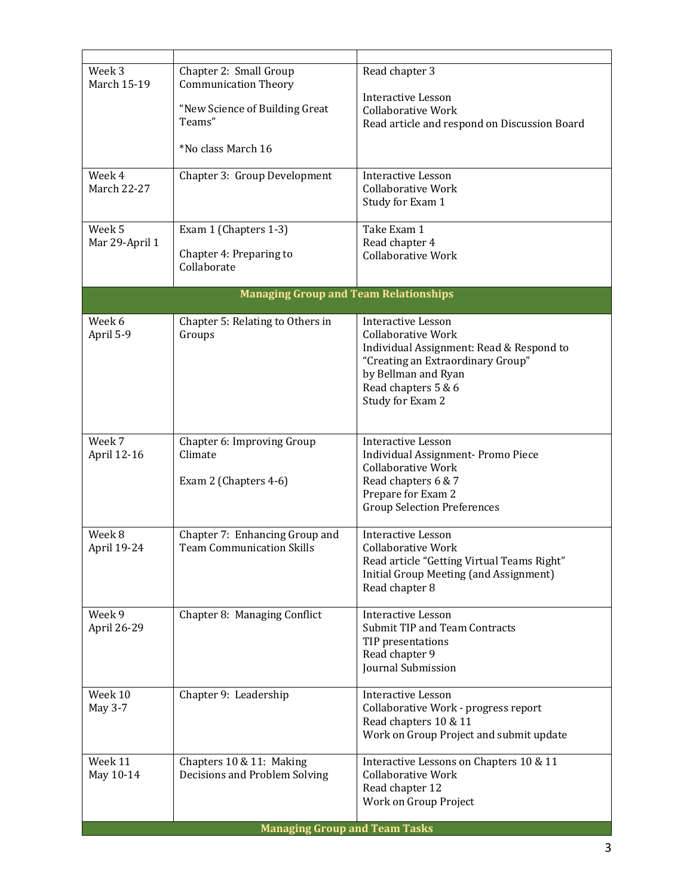| Week 3<br><b>March 15-19</b>                 | Chapter 2: Small Group<br><b>Communication Theory</b> | Read chapter 3                                                                                  |  |  |
|----------------------------------------------|-------------------------------------------------------|-------------------------------------------------------------------------------------------------|--|--|
|                                              | "New Science of Building Great<br>Teams"              | Interactive Lesson<br><b>Collaborative Work</b><br>Read article and respond on Discussion Board |  |  |
|                                              | *No class March 16                                    |                                                                                                 |  |  |
| Week 4                                       |                                                       |                                                                                                 |  |  |
| <b>March 22-27</b>                           | Chapter 3: Group Development                          | <b>Interactive Lesson</b><br><b>Collaborative Work</b><br>Study for Exam 1                      |  |  |
| Week 5<br>Mar 29-April 1                     | Exam 1 (Chapters 1-3)                                 | Take Exam 1<br>Read chapter 4                                                                   |  |  |
|                                              | Chapter 4: Preparing to<br>Collaborate                | <b>Collaborative Work</b>                                                                       |  |  |
| <b>Managing Group and Team Relationships</b> |                                                       |                                                                                                 |  |  |
| Week 6                                       | Chapter 5: Relating to Others in                      | <b>Interactive Lesson</b>                                                                       |  |  |
| April 5-9                                    | Groups                                                | <b>Collaborative Work</b>                                                                       |  |  |
|                                              |                                                       | Individual Assignment: Read & Respond to<br>"Creating an Extraordinary Group"                   |  |  |
|                                              |                                                       | by Bellman and Ryan                                                                             |  |  |
|                                              |                                                       | Read chapters 5 & 6                                                                             |  |  |
|                                              |                                                       | Study for Exam 2                                                                                |  |  |
|                                              |                                                       |                                                                                                 |  |  |
| Week 7                                       | Chapter 6: Improving Group                            | <b>Interactive Lesson</b>                                                                       |  |  |
| April 12-16                                  | Climate                                               | Individual Assignment- Promo Piece<br><b>Collaborative Work</b>                                 |  |  |
|                                              | Exam 2 (Chapters 4-6)                                 | Read chapters 6 & 7                                                                             |  |  |
|                                              |                                                       | Prepare for Exam 2                                                                              |  |  |
|                                              |                                                       | <b>Group Selection Preferences</b>                                                              |  |  |
| Week 8                                       | Chapter 7: Enhancing Group and                        | <b>Interactive Lesson</b>                                                                       |  |  |
| April 19-24                                  | <b>Team Communication Skills</b>                      | Collaborative Work                                                                              |  |  |
|                                              |                                                       | Read article "Getting Virtual Teams Right"<br>Initial Group Meeting (and Assignment)            |  |  |
|                                              |                                                       | Read chapter 8                                                                                  |  |  |
| Week 9                                       | Chapter 8: Managing Conflict                          | <b>Interactive Lesson</b>                                                                       |  |  |
| April 26-29                                  |                                                       | <b>Submit TIP and Team Contracts</b>                                                            |  |  |
|                                              |                                                       | TIP presentations<br>Read chapter 9                                                             |  |  |
|                                              |                                                       | Journal Submission                                                                              |  |  |
|                                              |                                                       |                                                                                                 |  |  |
| Week 10<br>May 3-7                           | Chapter 9: Leadership                                 | Interactive Lesson<br>Collaborative Work - progress report                                      |  |  |
|                                              |                                                       | Read chapters 10 & 11                                                                           |  |  |
|                                              |                                                       | Work on Group Project and submit update                                                         |  |  |
| Week 11                                      | Chapters 10 & 11: Making                              | Interactive Lessons on Chapters 10 & 11                                                         |  |  |
| May 10-14                                    | Decisions and Problem Solving                         | <b>Collaborative Work</b>                                                                       |  |  |
|                                              |                                                       | Read chapter 12<br>Work on Group Project                                                        |  |  |
|                                              |                                                       |                                                                                                 |  |  |
|                                              | <b>Managing Group and Team Tasks</b>                  |                                                                                                 |  |  |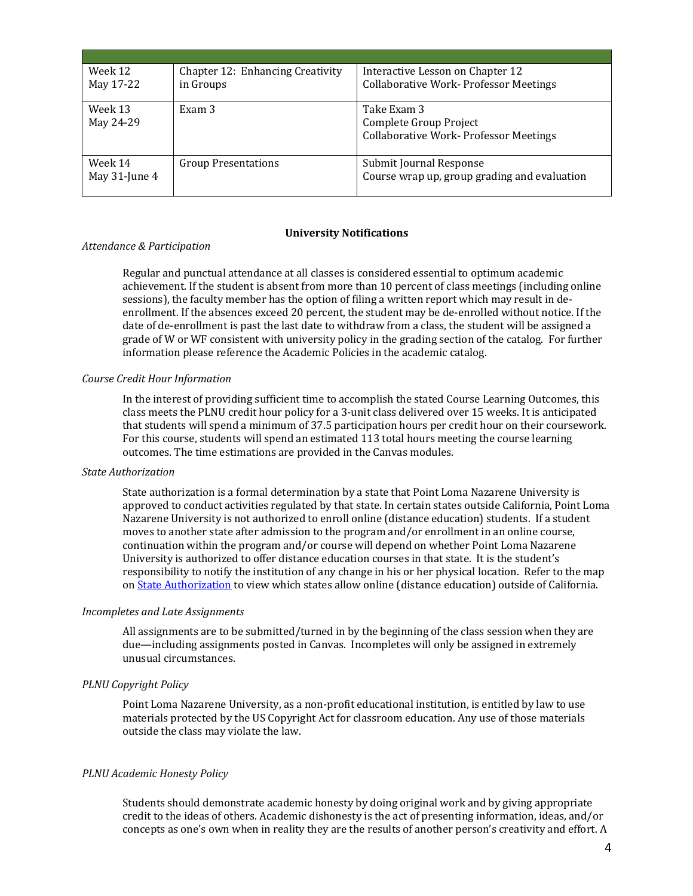| Week 12<br>May 17-22     | Chapter 12: Enhancing Creativity<br>in Groups | Interactive Lesson on Chapter 12<br><b>Collaborative Work- Professor Meetings</b>      |
|--------------------------|-----------------------------------------------|----------------------------------------------------------------------------------------|
|                          |                                               |                                                                                        |
| Week 13<br>May 24-29     | Exam 3                                        | Take Exam 3<br>Complete Group Project<br><b>Collaborative Work- Professor Meetings</b> |
| Week 14<br>May 31-June 4 | <b>Group Presentations</b>                    | Submit Journal Response<br>Course wrap up, group grading and evaluation                |

#### **University Notifications**

#### *Attendance & Participation*

Regular and punctual attendance at all classes is considered essential to optimum academic achievement. If the student is absent from more than 10 percent of class meetings (including online sessions), the faculty member has the option of filing a written report which may result in deenrollment. If the absences exceed 20 percent, the student may be de-enrolled without notice. If the date of de-enrollment is past the last date to withdraw from a class, the student will be assigned a grade of W or WF consistent with university policy in the grading section of the catalog. For further information please reference the Academic Policies in the academic catalog.

#### *Course Credit Hour Information*

In the interest of providing sufficient time to accomplish the stated Course Learning Outcomes, this class meets the PLNU credit hour policy for a 3-unit class delivered over 15 weeks. It is anticipated that students will spend a minimum of 37.5 participation hours per credit hour on their coursework. For this course, students will spend an estimated 113 total hours meeting the course learning outcomes. The time estimations are provided in the Canvas modules.

#### *State Authorization*

State authorization is a formal determination by a state that Point Loma Nazarene University is approved to conduct activities regulated by that state. In certain states outside California, Point Loma Nazarene University is not authorized to enroll online (distance education) students. If a student moves to another state after admission to the program and/or enrollment in an online course, continuation within the program and/or course will depend on whether Point Loma Nazarene University is authorized to offer distance education courses in that state. It is the student's responsibility to notify the institution of any change in his or her physical location. Refer to the map on State Authorization to view which states allow online (distance education) outside of California.

#### *Incompletes and Late Assignments*

All assignments are to be submitted/turned in by the beginning of the class session when they are due—including assignments posted in Canvas. Incompletes will only be assigned in extremely unusual circumstances.

## *PLNU Copyright Policy*

Point Loma Nazarene University, as a non-profit educational institution, is entitled by law to use materials protected by the US Copyright Act for classroom education. Any use of those materials outside the class may violate the law.

## *PLNU Academic Honesty Policy*

Students should demonstrate academic honesty by doing original work and by giving appropriate credit to the ideas of others. Academic dishonesty is the act of presenting information, ideas, and/or concepts as one's own when in reality they are the results of another person's creativity and effort. A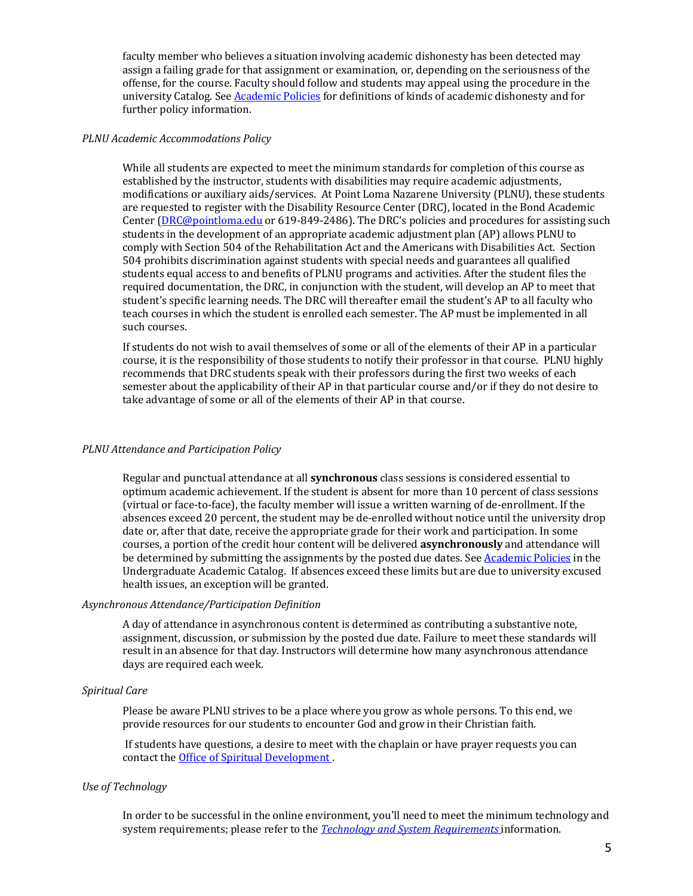faculty member who believes a situation involving academic dishonesty has been detected may assign a failing grade for that assignment or examination, or, depending on the seriousness of the offense, for the course. Faculty should follow and students may appeal using the procedure in the university Catalog. See Academic Policies for definitions of kinds of academic dishonesty and for further policy information.

#### *PLNU Academic Accommodations Policy*

While all students are expected to meet the minimum standards for completion of this course as established by the instructor, students with disabilities may require academic adjustments, modifications or auxiliary aids/services. At Point Loma Nazarene University (PLNU), these students are requested to register with the Disability Resource Center (DRC), located in the Bond Academic Center  $(DRC@pointloma.edu or 619-849-2486)$ . The DRC's policies and procedures for assisting such students in the development of an appropriate academic adjustment plan (AP) allows PLNU to comply with Section 504 of the Rehabilitation Act and the Americans with Disabilities Act. Section 504 prohibits discrimination against students with special needs and guarantees all qualified students equal access to and benefits of PLNU programs and activities. After the student files the required documentation, the DRC, in conjunction with the student, will develop an AP to meet that student's specific learning needs. The DRC will thereafter email the student's AP to all faculty who teach courses in which the student is enrolled each semester. The AP must be implemented in all such courses.

If students do not wish to avail themselves of some or all of the elements of their AP in a particular course, it is the responsibility of those students to notify their professor in that course. PLNU highly recommends that DRC students speak with their professors during the first two weeks of each semester about the applicability of their AP in that particular course and/or if they do not desire to take advantage of some or all of the elements of their AP in that course.

## *PLNU Attendance and Participation Policy*

Regular and punctual attendance at all **synchronous** class sessions is considered essential to optimum academic achievement. If the student is absent for more than 10 percent of class sessions (virtual or face-to-face), the faculty member will issue a written warning of de-enrollment. If the absences exceed 20 percent, the student may be de-enrolled without notice until the university drop date or, after that date, receive the appropriate grade for their work and participation. In some courses, a portion of the credit hour content will be delivered **asynchronously** and attendance will be determined by submitting the assignments by the posted due dates. See Academic Policies in the Undergraduate Academic Catalog. If absences exceed these limits but are due to university excused health issues, an exception will be granted.

## *Asynchronous Attendance/Participation Definition*

A dav of attendance in asynchronous content is determined as contributing a substantive note, assignment, discussion, or submission by the posted due date. Failure to meet these standards will result in an absence for that day. Instructors will determine how many asynchronous attendance days are required each week.

## *Spiritual Care*

Please be aware PLNU strives to be a place where you grow as whole persons. To this end, we provide resources for our students to encounter God and grow in their Christian faith.

If students have questions, a desire to meet with the chaplain or have prayer requests you can contact the **Office of Spiritual Development**.

## *Use of Technology*

In order to be successful in the online environment, you'll need to meet the minimum technology and system requirements; please refer to the *Technology and System Requirements* information.